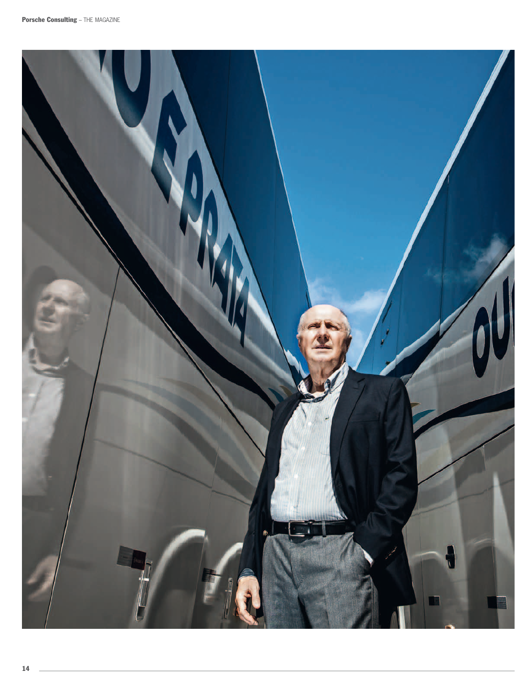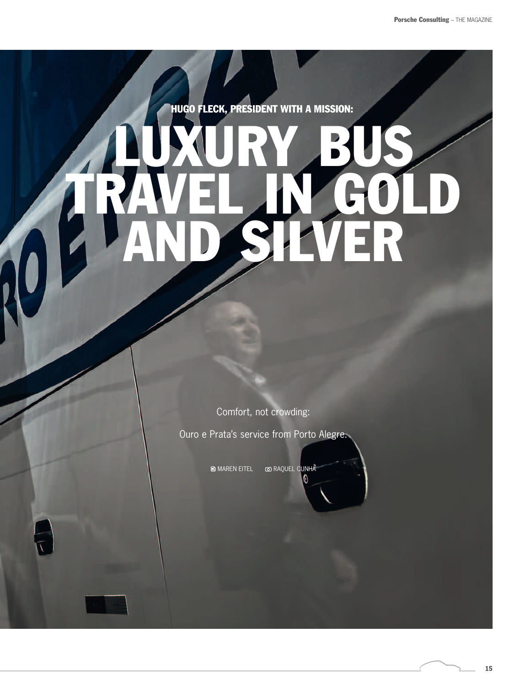Hugo Fleck, President with a mission:

# LUXURY BUS TRAVEL IN GOLD AND SILVER

Comfort, not crowding:

Ouro e Prata's service from Porto Alegre.

Maren Eitel  Raquel Cunha

O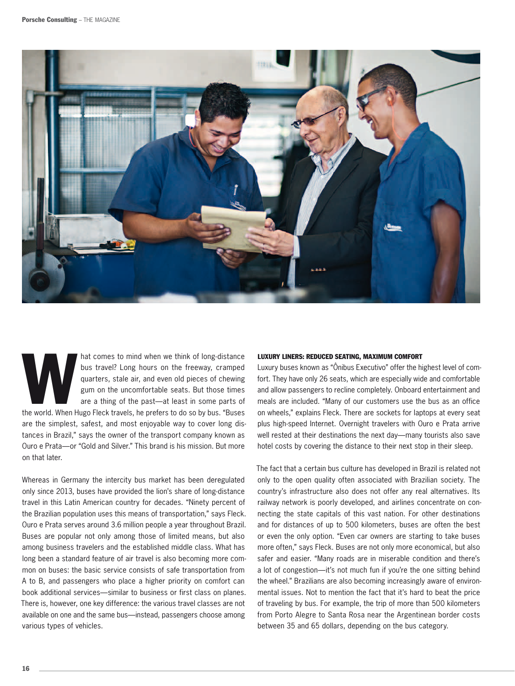

hat comes to mind when we think of long-distance bus travel? Long hours on the freeway, cramped quarters, stale air, and even old pieces of chewing gum on the uncomfortable seats. But those times are a thing of the past—at bus travel? Long hours on the freeway, cramped quarters, stale air, and even old pieces of chewing gum on the uncomfortable seats. But those times are a thing of the past—at least in some parts of are the simplest, safest, and most enjoyable way to cover long distances in Brazil," says the owner of the transport company known as Ouro e Prata—or "Gold and Silver." This brand is his mission. But more on that later.

Whereas in Germany the intercity bus market has been deregulated only since 2013, buses have provided the lion's share of long-distance travel in this Latin American country for decades. "Ninety percent of the Brazilian population uses this means of transportation," says Fleck. Ouro e Prata serves around 3.6 million people a year throughout Brazil. Buses are popular not only among those of limited means, but also among business travelers and the established middle class. What has long been a standard feature of air travel is also becoming more common on buses: the basic service consists of safe transportation from A to B, and passengers who place a higher priority on comfort can book additional services—similar to business or first class on planes. There is, however, one key difference: the various travel classes are not available on one and the same bus—instead, passengers choose among various types of vehicles.

## Luxury liners: reduced seating, maximum comfort

Luxury buses known as "Ônibus Executivo" offer the highest level of comfort. They have only 26 seats, which are especially wide and comfortable and allow passengers to recline completely. Onboard entertainment and meals are included. "Many of our customers use the bus as an office on wheels," explains Fleck. There are sockets for laptops at every seat plus high-speed Internet. Overnight travelers with Ouro e Prata arrive well rested at their destinations the next day—many tourists also save hotel costs by covering the distance to their next stop in their sleep.

The fact that a certain bus culture has developed in Brazil is related not only to the open quality often associated with Brazilian society. The country's infrastructure also does not offer any real alternatives. Its railway network is poorly developed, and airlines concentrate on connecting the state capitals of this vast nation. For other destinations and for distances of up to 500 kilometers, buses are often the best or even the only option. "Even car owners are starting to take buses more often," says Fleck. Buses are not only more economical, but also safer and easier. "Many roads are in miserable condition and there's a lot of congestion—it's not much fun if you're the one sitting behind the wheel." Brazilians are also becoming increasingly aware of environmental issues. Not to mention the fact that it's hard to beat the price of traveling by bus. For example, the trip of more than 500 kilometers from Porto Alegre to Santa Rosa near the Argentinean border costs between 35 and 65 dollars, depending on the bus category.